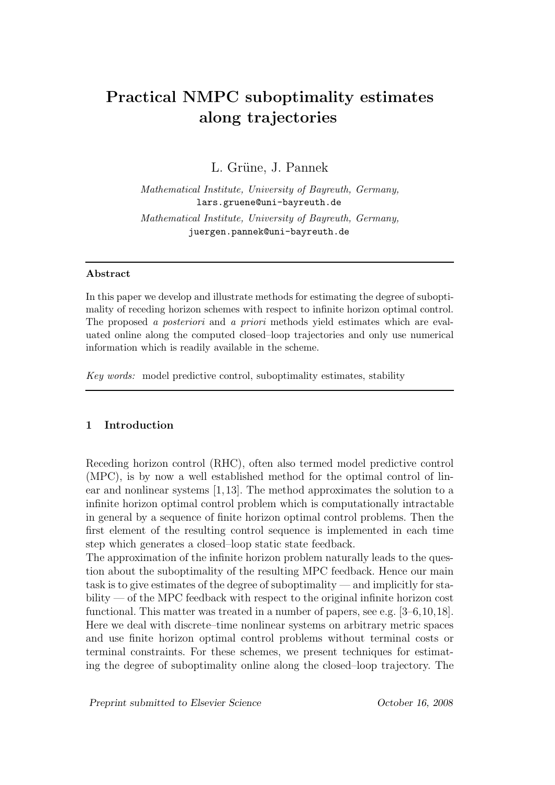# Practical NMPC suboptimality estimates along trajectories

L. Grüne, J. Pannek

Mathematical Institute, University of Bayreuth, Germany, lars.gruene@uni-bayreuth.de Mathematical Institute, University of Bayreuth, Germany, juergen.pannek@uni-bayreuth.de

#### Abstract

In this paper we develop and illustrate methods for estimating the degree of suboptimality of receding horizon schemes with respect to infinite horizon optimal control. The proposed a posteriori and a priori methods yield estimates which are evaluated online along the computed closed–loop trajectories and only use numerical information which is readily available in the scheme.

Key words: model predictive control, suboptimality estimates, stability

### 1 Introduction

Receding horizon control (RHC), often also termed model predictive control (MPC), is by now a well established method for the optimal control of linear and nonlinear systems [1,13]. The method approximates the solution to a infinite horizon optimal control problem which is computationally intractable in general by a sequence of finite horizon optimal control problems. Then the first element of the resulting control sequence is implemented in each time step which generates a closed–loop static state feedback.

The approximation of the infinite horizon problem naturally leads to the question about the suboptimality of the resulting MPC feedback. Hence our main task is to give estimates of the degree of suboptimality — and implicitly for stability — of the MPC feedback with respect to the original infinite horizon cost functional. This matter was treated in a number of papers, see e.g. [3–6,10,18]. Here we deal with discrete–time nonlinear systems on arbitrary metric spaces and use finite horizon optimal control problems without terminal costs or terminal constraints. For these schemes, we present techniques for estimating the degree of suboptimality online along the closed–loop trajectory. The

Preprint submitted to Elsevier Science October 16, 2008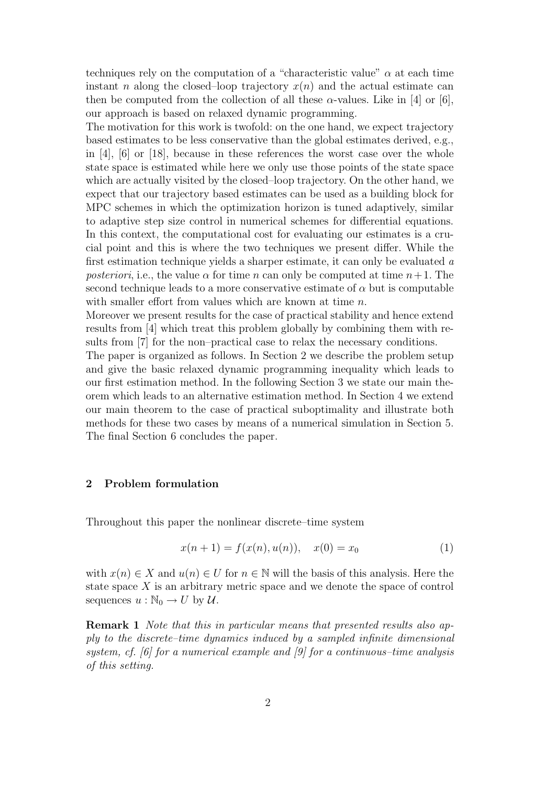techniques rely on the computation of a "characteristic value"  $\alpha$  at each time instant n along the closed–loop trajectory  $x(n)$  and the actual estimate can then be computed from the collection of all these  $\alpha$ -values. Like in [4] or [6], our approach is based on relaxed dynamic programming.

The motivation for this work is twofold: on the one hand, we expect trajectory based estimates to be less conservative than the global estimates derived, e.g., in [4], [6] or [18], because in these references the worst case over the whole state space is estimated while here we only use those points of the state space which are actually visited by the closed–loop trajectory. On the other hand, we expect that our trajectory based estimates can be used as a building block for MPC schemes in which the optimization horizon is tuned adaptively, similar to adaptive step size control in numerical schemes for differential equations. In this context, the computational cost for evaluating our estimates is a crucial point and this is where the two techniques we present differ. While the first estimation technique yields a sharper estimate, it can only be evaluated a *posteriori*, i.e., the value  $\alpha$  for time n can only be computed at time  $n+1$ . The second technique leads to a more conservative estimate of  $\alpha$  but is computable with smaller effort from values which are known at time n.

Moreover we present results for the case of practical stability and hence extend results from [4] which treat this problem globally by combining them with results from [7] for the non–practical case to relax the necessary conditions.

The paper is organized as follows. In Section 2 we describe the problem setup and give the basic relaxed dynamic programming inequality which leads to our first estimation method. In the following Section 3 we state our main theorem which leads to an alternative estimation method. In Section 4 we extend our main theorem to the case of practical suboptimality and illustrate both methods for these two cases by means of a numerical simulation in Section 5. The final Section 6 concludes the paper.

# 2 Problem formulation

Throughout this paper the nonlinear discrete–time system

$$
x(n + 1) = f(x(n), u(n)), \quad x(0) = x_0 \tag{1}
$$

with  $x(n) \in X$  and  $u(n) \in U$  for  $n \in \mathbb{N}$  will the basis of this analysis. Here the state space  $X$  is an arbitrary metric space and we denote the space of control sequences  $u : \mathbb{N}_0 \to U$  by  $\mathcal{U}$ .

Remark 1 Note that this in particular means that presented results also apply to the discrete–time dynamics induced by a sampled infinite dimensional system, cf. [6] for a numerical example and [9] for a continuous–time analysis of this setting.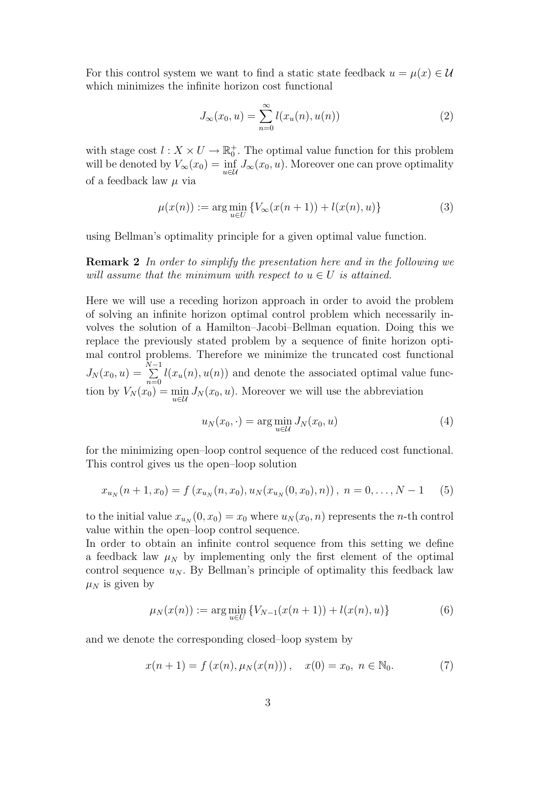For this control system we want to find a static state feedback  $u = \mu(x) \in U$ which minimizes the infinite horizon cost functional

$$
J_{\infty}(x_0, u) = \sum_{n=0}^{\infty} l(x_u(n), u(n))
$$
\n(2)

with stage cost  $l : X \times U \to \mathbb{R}_0^+$ . The optimal value function for this problem will be denoted by  $V_{\infty}(x_0) = \inf_{u \in \mathcal{U}} J_{\infty}(x_0, u)$ . Moreover one can prove optimality of a feedback law  $\mu$  via

$$
\mu(x(n)) := \arg\min_{u \in U} \{ V_{\infty}(x(n+1)) + l(x(n), u) \}
$$
\n(3)

using Bellman's optimality principle for a given optimal value function.

Remark 2 In order to simplify the presentation here and in the following we will assume that the minimum with respect to  $u \in U$  is attained.

Here we will use a receding horizon approach in order to avoid the problem of solving an infinite horizon optimal control problem which necessarily involves the solution of a Hamilton–Jacobi–Bellman equation. Doing this we replace the previously stated problem by a sequence of finite horizon optimal control problems. Therefore we minimize the truncated cost functional  $J_N(x_0, u) = \sum_{n=1}^{N-1}$  $\sum_{n=0}$   $l(x_u(n), u(n))$  and denote the associated optimal value function by  $V_N(x_0) = \min_{u \in \mathcal{U}} J_N(x_0, u)$ . Moreover we will use the abbreviation

$$
u_N(x_0, \cdot) = \arg\min_{u \in \mathcal{U}} J_N(x_0, u) \tag{4}
$$

for the minimizing open–loop control sequence of the reduced cost functional. This control gives us the open–loop solution

$$
x_{u_N}(n+1,x_0) = f(x_{u_N}(n,x_0), u_N(x_{u_N}(0,x_0),n)), \ n = 0, \ldots, N-1 \quad (5)
$$

to the initial value  $x_{u_N}(0, x_0) = x_0$  where  $u_N(x_0, n)$  represents the *n*-th control value within the open–loop control sequence.

In order to obtain an infinite control sequence from this setting we define a feedback law  $\mu_N$  by implementing only the first element of the optimal control sequence  $u_N$ . By Bellman's principle of optimality this feedback law  $\mu_N$  is given by

$$
\mu_N(x(n)) := \arg\min_{u \in U} \{ V_{N-1}(x(n+1)) + l(x(n), u) \}
$$
\n(6)

and we denote the corresponding closed–loop system by

$$
x(n + 1) = f(x(n), \mu_N(x(n))), \quad x(0) = x_0, \ n \in \mathbb{N}_0.
$$
 (7)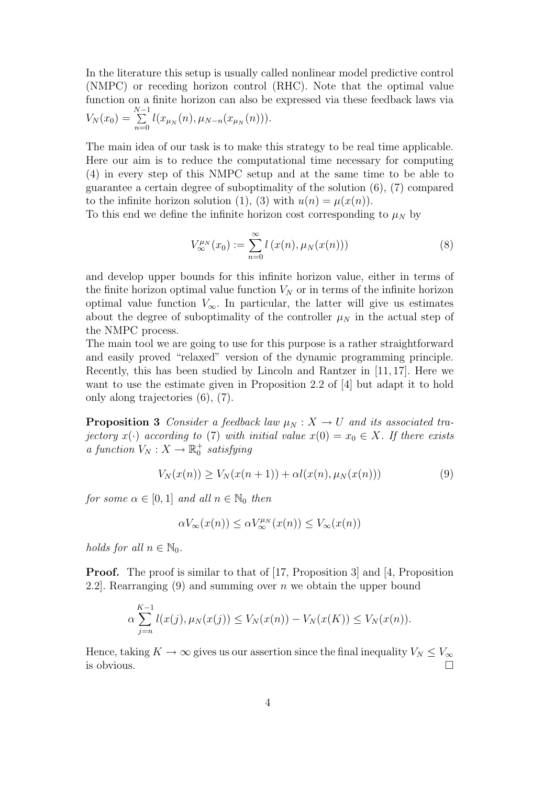In the literature this setup is usually called nonlinear model predictive control (NMPC) or receding horizon control (RHC). Note that the optimal value function on a finite horizon can also be expressed via these feedback laws via  $V_N(x_0) = \sum_{n=1}^{N-1}$  $\sum_{n=0} l(x_{\mu_N}(n), \mu_{N-n}(x_{\mu_N}(n))).$ 

The main idea of our task is to make this strategy to be real time applicable. Here our aim is to reduce the computational time necessary for computing (4) in every step of this NMPC setup and at the same time to be able to guarantee a certain degree of suboptimality of the solution  $(6)$ ,  $(7)$  compared to the infinite horizon solution (1), (3) with  $u(n) = \mu(x(n))$ .

To this end we define the infinite horizon cost corresponding to  $\mu<sub>N</sub>$  by

$$
V_{\infty}^{\mu_N}(x_0) := \sum_{n=0}^{\infty} l(x(n), \mu_N(x(n))) \tag{8}
$$

and develop upper bounds for this infinite horizon value, either in terms of the finite horizon optimal value function  $V_N$  or in terms of the infinite horizon optimal value function  $V_{\infty}$ . In particular, the latter will give us estimates about the degree of suboptimality of the controller  $\mu_N$  in the actual step of the NMPC process.

The main tool we are going to use for this purpose is a rather straightforward and easily proved "relaxed" version of the dynamic programming principle. Recently, this has been studied by Lincoln and Rantzer in [11, 17]. Here we want to use the estimate given in Proposition 2.2 of [4] but adapt it to hold only along trajectories (6), (7).

**Proposition 3** Consider a feedback law  $\mu_N : X \to U$  and its associated trajectory  $x(\cdot)$  according to (7) with initial value  $x(0) = x_0 \in X$ . If there exists a function  $V_N: X \to \mathbb{R}^+_0$  satisfying

$$
V_N(x(n)) \ge V_N(x(n+1)) + \alpha l(x(n), \mu_N(x(n)))
$$
\n(9)

for some  $\alpha \in [0,1]$  and all  $n \in \mathbb{N}_0$  then

$$
\alpha V_{\infty}(x(n)) \leq \alpha V_{\infty}^{\mu} (x(n)) \leq V_{\infty}(x(n))
$$

holds for all  $n \in \mathbb{N}_0$ .

**Proof.** The proof is similar to that of [17, Proposition 3] and [4, Proposition 2.2. Rearranging (9) and summing over n we obtain the upper bound

$$
\alpha \sum_{j=n}^{K-1} l(x(j), \mu_N(x(j)) \le V_N(x(n)) - V_N(x(K)) \le V_N(x(n)).
$$

Hence, taking  $K \to \infty$  gives us our assertion since the final inequality  $V_N \leq V_\infty$ is obvious.  $\Box$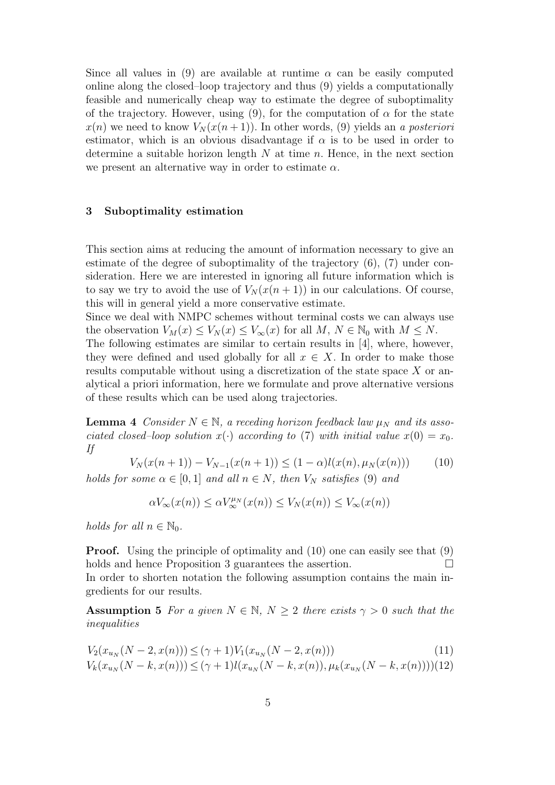Since all values in (9) are available at runtime  $\alpha$  can be easily computed online along the closed–loop trajectory and thus (9) yields a computationally feasible and numerically cheap way to estimate the degree of suboptimality of the trajectory. However, using (9), for the computation of  $\alpha$  for the state  $x(n)$  we need to know  $V_N(x(n+1))$ . In other words, (9) yields an a posteriori estimator, which is an obvious disadvantage if  $\alpha$  is to be used in order to determine a suitable horizon length  $N$  at time  $n$ . Hence, in the next section we present an alternative way in order to estimate  $\alpha$ .

#### 3 Suboptimality estimation

This section aims at reducing the amount of information necessary to give an estimate of the degree of suboptimality of the trajectory (6), (7) under consideration. Here we are interested in ignoring all future information which is to say we try to avoid the use of  $V_N(x(n + 1))$  in our calculations. Of course, this will in general yield a more conservative estimate.

Since we deal with NMPC schemes without terminal costs we can always use the observation  $V_M(x) \leq V_N(x) \leq V_\infty(x)$  for all  $M, N \in \mathbb{N}_0$  with  $M \leq N$ .

The following estimates are similar to certain results in [4], where, however, they were defined and used globally for all  $x \in X$ . In order to make those results computable without using a discretization of the state space X or analytical a priori information, here we formulate and prove alternative versions of these results which can be used along trajectories.

**Lemma 4** Consider  $N \in \mathbb{N}$ , a receding horizon feedback law  $\mu_N$  and its associated closed–loop solution  $x(\cdot)$  according to (7) with initial value  $x(0) = x_0$ . If

$$
V_N(x(n+1)) - V_{N-1}(x(n+1)) \le (1 - \alpha)l(x(n), \mu_N(x(n))) \tag{10}
$$

holds for some  $\alpha \in [0,1]$  and all  $n \in N$ , then  $V_N$  satisfies (9) and

$$
\alpha V_{\infty}(x(n)) \leq \alpha V_{\infty}^{\mu_N}(x(n)) \leq V_N(x(n)) \leq V_{\infty}(x(n))
$$

holds for all  $n \in \mathbb{N}_0$ .

**Proof.** Using the principle of optimality and (10) one can easily see that (9) holds and hence Proposition 3 guarantees the assertion. In order to shorten notation the following assumption contains the main in-

gredients for our results.

**Assumption 5** For a given  $N \in \mathbb{N}$ ,  $N \geq 2$  there exists  $\gamma > 0$  such that the inequalities

$$
V_2(x_{u_N}(N-2, x(n))) \le (\gamma + 1)V_1(x_{u_N}(N-2, x(n))) \tag{11}
$$
  
\n
$$
V_k(x_{u_N}(N-k, x(n))) \le (\gamma + 1)l(x_{u_N}(N-k, x(n)), \mu_k(x_{u_N}(N-k, x(n))))(12)
$$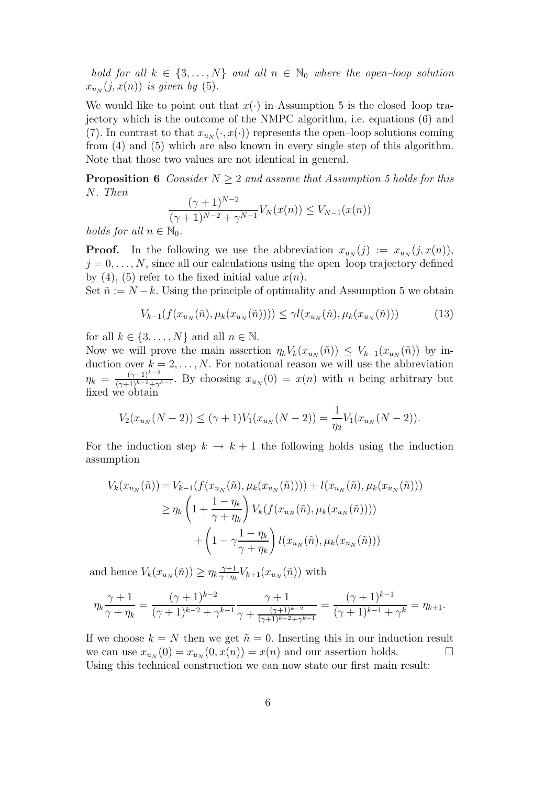hold for all  $k \in \{3, ..., N\}$  and all  $n \in \mathbb{N}_0$  where the open-loop solution  $x_{u_N}(j, x(n))$  is given by (5).

We would like to point out that  $x(\cdot)$  in Assumption 5 is the closed–loop trajectory which is the outcome of the NMPC algorithm, i.e. equations (6) and (7). In contrast to that  $x_{u_N}(\cdot, x(\cdot))$  represents the open-loop solutions coming from (4) and (5) which are also known in every single step of this algorithm. Note that those two values are not identical in general.

**Proposition 6** Consider  $N \geq 2$  and assume that Assumption 5 holds for this N. Then

$$
\frac{(\gamma+1)^{N-2}}{(\gamma+1)^{N-2} + \gamma^{N-1}} V_N(x(n)) \leq V_{N-1}(x(n))
$$

holds for all  $n \in \mathbb{N}_0$ .

**Proof.** In the following we use the abbreviation  $x_{u_N}(j) := x_{u_N}(j, x(n)),$  $j = 0, \ldots, N$ , since all our calculations using the open-loop trajectory defined by (4), (5) refer to the fixed initial value  $x(n)$ .

Set  $\tilde{n} := N - k$ . Using the principle of optimality and Assumption 5 we obtain

$$
V_{k-1}(f(x_{u_N}(\tilde{n}), \mu_k(x_{u_N}(\tilde{n})))) \le \gamma l(x_{u_N}(\tilde{n}), \mu_k(x_{u_N}(\tilde{n})))
$$
\n(13)

for all  $k \in \{3, \ldots, N\}$  and all  $n \in \mathbb{N}$ .

Now we will prove the main assertion  $\eta_k V_k(x_{u_N}(\tilde{n})) \leq V_{k-1}(x_{u_N}(\tilde{n}))$  by induction over  $k = 2, \ldots, N$ . For notational reason we will use the abbreviation  $\eta_k = \frac{(\gamma+1)^{k-2}}{(\gamma+1)^{k-2}+\gamma}$  $\frac{(\gamma+1)^{n-2}}{(\gamma+1)^{k-2}+\gamma^{k-1}}$ . By choosing  $x_{u_N}(0) = x(n)$  with n being arbitrary but fixed we obtain

$$
V_2(x_{u_N}(N-2)) \le (\gamma + 1)V_1(x_{u_N}(N-2)) = \frac{1}{\eta_2}V_1(x_{u_N}(N-2)).
$$

For the induction step  $k \to k+1$  the following holds using the induction assumption

$$
V_k(x_{u_N}(\tilde{n})) = V_{k-1}(f(x_{u_N}(\tilde{n}), \mu_k(x_{u_N}(\tilde{n})))) + l(x_{u_N}(\tilde{n}), \mu_k(x_{u_N}(\tilde{n})))
$$
  
\n
$$
\geq \eta_k \left(1 + \frac{1 - \eta_k}{\gamma + \eta_k}\right) V_k(f(x_{u_N}(\tilde{n}), \mu_k(x_{u_N}(\tilde{n}))))
$$
  
\n
$$
+ \left(1 - \gamma \frac{1 - \eta_k}{\gamma + \eta_k}\right) l(x_{u_N}(\tilde{n}), \mu_k(x_{u_N}(\tilde{n})))
$$

and hence  $V_k(x_{u_N}(\tilde{n})) \geq \eta_k \frac{\gamma+1}{\gamma+n_k}$  $\frac{\gamma+1}{\gamma+\eta_k}V_{k+1}(x_{u_N}(\tilde{n}))$  with

$$
\eta_k \frac{\gamma+1}{\gamma+\eta_k} = \frac{(\gamma+1)^{k-2}}{(\gamma+1)^{k-2} + \gamma^{k-1}} \frac{\gamma+1}{\gamma + \frac{(\gamma+1)^{k-2}}{(\gamma+1)^{k-2} + \gamma^{k-1}}} = \frac{(\gamma+1)^{k-1}}{(\gamma+1)^{k-1} + \gamma^k} = \eta_{k+1}.
$$

If we choose  $k = N$  then we get  $\tilde{n} = 0$ . Inserting this in our induction result we can use  $x_{u_N}(0) = x_{u_N}(0, x(n)) = x(n)$  and our assertion holds. Using this technical construction we can now state our first main result: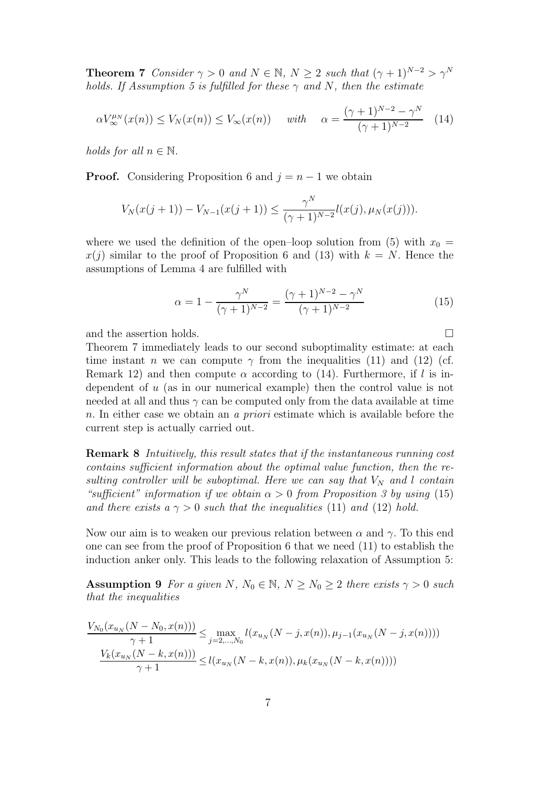**Theorem 7** Consider  $\gamma > 0$  and  $N \in \mathbb{N}$ ,  $N \ge 2$  such that  $(\gamma + 1)^{N-2} > \gamma^N$ holds. If Assumption 5 is fulfilled for these  $\gamma$  and N, then the estimate

$$
\alpha V_{\infty}^{\mu} (x(n)) \le V_N(x(n)) \le V_{\infty}(x(n)) \quad \text{with} \quad \alpha = \frac{(\gamma + 1)^{N-2} - \gamma^N}{(\gamma + 1)^{N-2}} \tag{14}
$$

holds for all  $n \in \mathbb{N}$ .

**Proof.** Considering Proposition 6 and  $j = n - 1$  we obtain

$$
V_N(x(j+1)) - V_{N-1}(x(j+1)) \le \frac{\gamma^N}{(\gamma+1)^{N-2}} l(x(j), \mu_N(x(j))).
$$

where we used the definition of the open-loop solution from (5) with  $x_0 =$  $x(j)$  similar to the proof of Proposition 6 and (13) with  $k = N$ . Hence the assumptions of Lemma 4 are fulfilled with

$$
\alpha = 1 - \frac{\gamma^N}{(\gamma + 1)^{N-2}} = \frac{(\gamma + 1)^{N-2} - \gamma^N}{(\gamma + 1)^{N-2}} \tag{15}
$$

and the assertion holds.  $\Box$ 

Theorem 7 immediately leads to our second suboptimality estimate: at each time instant *n* we can compute  $\gamma$  from the inequalities (11) and (12) (cf. Remark 12) and then compute  $\alpha$  according to (14). Furthermore, if l is independent of  $u$  (as in our numerical example) then the control value is not needed at all and thus  $\gamma$  can be computed only from the data available at time n. In either case we obtain an a priori estimate which is available before the current step is actually carried out.

Remark 8 Intuitively, this result states that if the instantaneous running cost contains sufficient information about the optimal value function, then the resulting controller will be suboptimal. Here we can say that  $V_N$  and l contain "sufficient" information if we obtain  $\alpha > 0$  from Proposition 3 by using (15) and there exists  $a \gamma > 0$  such that the inequalities (11) and (12) hold.

Now our aim is to weaken our previous relation between  $\alpha$  and  $\gamma$ . To this end one can see from the proof of Proposition 6 that we need (11) to establish the induction anker only. This leads to the following relaxation of Assumption 5:

**Assumption 9** For a given N,  $N_0 \in \mathbb{N}$ ,  $N \ge N_0 \ge 2$  there exists  $\gamma > 0$  such that the inequalities

$$
\frac{V_{N_0}(x_{u_N}(N - N_0, x(n)))}{\gamma + 1} \leq \max_{j=2,\dots,N_0} l(x_{u_N}(N - j, x(n)), \mu_{j-1}(x_{u_N}(N - j, x(n))))
$$
  

$$
\frac{V_k(x_{u_N}(N - k, x(n)))}{\gamma + 1} \leq l(x_{u_N}(N - k, x(n)), \mu_k(x_{u_N}(N - k, x(n))))
$$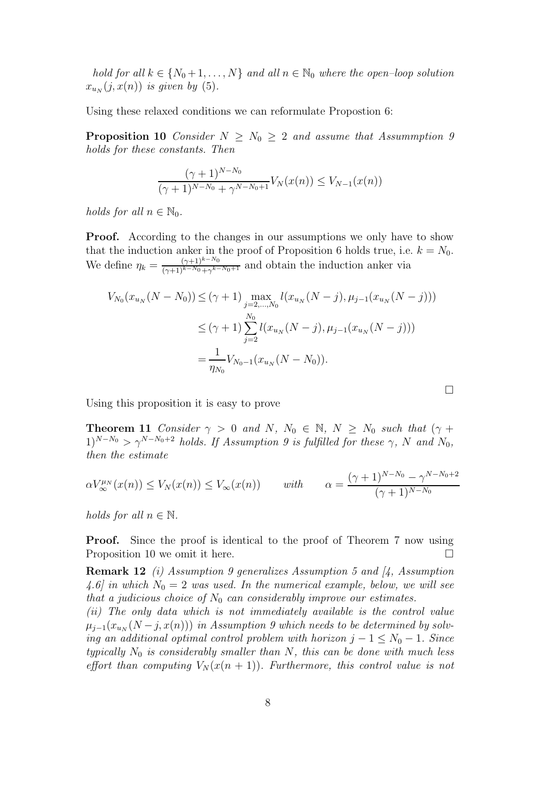hold for all  $k \in \{N_0+1,\ldots,N\}$  and all  $n \in \mathbb{N}_0$  where the open-loop solution  $x_{u_N}(j, x(n))$  is given by (5).

Using these relaxed conditions we can reformulate Propostion 6:

**Proposition 10** Consider  $N \geq N_0 \geq 2$  and assume that Assummption 9 holds for these constants. Then

$$
\frac{(\gamma+1)^{N-N_0}}{(\gamma+1)^{N-N_0} + \gamma^{N-N_0+1}} V_N(x(n)) \leq V_{N-1}(x(n))
$$

holds for all  $n \in \mathbb{N}_0$ .

**Proof.** According to the changes in our assumptions we only have to show that the induction anker in the proof of Proposition 6 holds true, i.e.  $k = N_0$ . We define  $\eta_k = \frac{(\gamma+1)^{k-N_0}}{(\gamma+1)^{k-N_0}+\gamma^{k-1}}$  $\frac{(\gamma+1)^{k-N_0}}{(\gamma+1)^{k-N_0}+\gamma^{k-N_0+1}}$  and obtain the induction anker via

$$
V_{N_0}(x_{u_N}(N - N_0)) \le (\gamma + 1) \max_{j=2,\dots,N_0} l(x_{u_N}(N - j), \mu_{j-1}(x_{u_N}(N - j)))
$$
  

$$
\le (\gamma + 1) \sum_{j=2}^{N_0} l(x_{u_N}(N - j), \mu_{j-1}(x_{u_N}(N - j)))
$$
  

$$
= \frac{1}{\eta_{N_0}} V_{N_0 - 1}(x_{u_N}(N - N_0)).
$$

 $\Box$ 

Using this proposition it is easy to prove

**Theorem 11** Consider  $\gamma > 0$  and N,  $N_0 \in \mathbb{N}$ ,  $N \geq N_0$  such that  $(\gamma +$  $1)^{N-N_0} > \gamma^{N-N_0+2}$  holds. If Assumption 9 is fulfilled for these  $\gamma$ , N and  $N_0$ , then the estimate

$$
\alpha V_{\infty}^{\mu} (x(n)) \le V_N(x(n)) \le V_{\infty}(x(n)) \quad \text{with} \quad \alpha = \frac{(\gamma + 1)^{N - N_0} - \gamma^{N - N_0 + 2}}{(\gamma + 1)^{N - N_0}}
$$

holds for all  $n \in \mathbb{N}$ .

**Proof.** Since the proof is identical to the proof of Theorem 7 now using Proposition 10 we omit it here.

**Remark 12** (i) Assumption 9 generalizes Assumption 5 and  $\begin{bmatrix} 4 \\ 4 \end{bmatrix}$ , Assumption 4.6] in which  $N_0 = 2$  was used. In the numerical example, below, we will see that a judicious choice of  $N_0$  can considerably improve our estimates.

(ii) The only data which is not immediately available is the control value  $\mu_{j-1}(x_{u_N}(N-j,x(n)))$  in Assumption 9 which needs to be determined by solving an additional optimal control problem with horizon  $j - 1 \le N_0 - 1$ . Since typically  $N_0$  is considerably smaller than N, this can be done with much less effort than computing  $V_N(x(n + 1))$ . Furthermore, this control value is not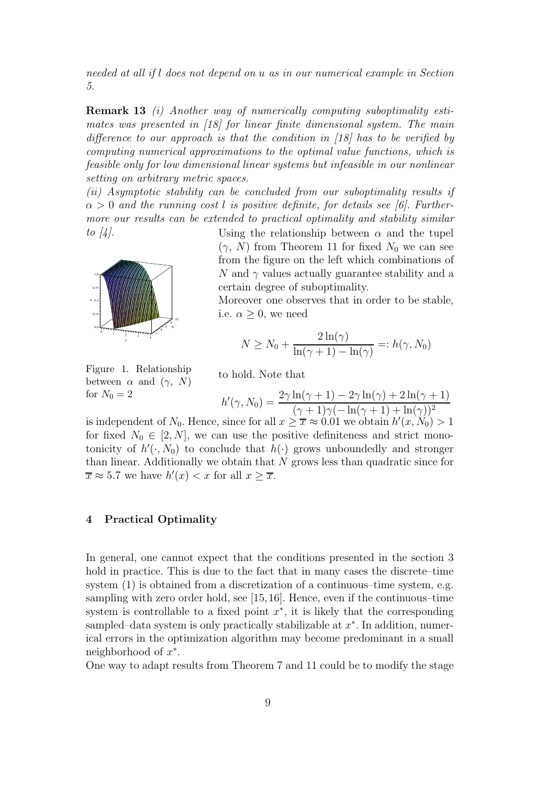needed at all if l does not depend on u as in our numerical example in Section 5.

Remark 13 (i) Another way of numerically computing suboptimality estimates was presented in [18] for linear finite dimensional system. The main difference to our approach is that the condition in [18] has to be verified by computing numerical approximations to the optimal value functions, which is feasible only for low dimensional linear systems but infeasible in our nonlinear setting on arbitrary metric spaces.

(ii) Asymptotic stability can be concluded from our suboptimality results if  $\alpha > 0$  and the running cost l is positive definite, for details see [6]. Furthermore our results can be extended to practical optimality and stability similar to  $\frac{1}{4}$ .



Using the relationship between  $\alpha$  and the tupel  $(\gamma, N)$  from Theorem 11 for fixed  $N_0$  we can see from the figure on the left which combinations of N and  $\gamma$  values actually guarantee stability and a certain degree of suboptimality.

Moreover one observes that in order to be stable, i.e.  $\alpha \geq 0$ , we need

$$
N \ge N_0 + \frac{2\ln(\gamma)}{\ln(\gamma + 1) - \ln(\gamma)} =: h(\gamma, N_0)
$$

Figure 1. Relationship between  $\alpha$  and  $(\gamma, N)$ for  $N_0 = 2$ 

to hold. Note that

$$
h'(\gamma, N_0) = \frac{2\gamma \ln(\gamma + 1) - 2\gamma \ln(\gamma) + 2\ln(\gamma + 1)}{(\gamma + 1)\gamma(-\ln(\gamma + 1) + \ln(\gamma))^2}
$$

is independent of  $N_0$ . Hence, since for all  $x \geq \overline{x} \approx 0.01$  we obtain  $h'(x, N_0) > 1$ for fixed  $N_0 \in [2, N]$ , we can use the positive definiteness and strict monotonicity of  $h'(\cdot, N_0)$  to conclude that  $h(\cdot)$  grows unboundedly and stronger than linear. Additionally we obtain that  $N$  grows less than quadratic since for  $\overline{x} \approx 5.7$  we have  $h'(x) < x$  for all  $x \geq \overline{x}$ .

## 4 Practical Optimality

In general, one cannot expect that the conditions presented in the section 3 hold in practice. This is due to the fact that in many cases the discrete–time system (1) is obtained from a discretization of a continuous–time system, e.g. sampling with zero order hold, see [15,16]. Hence, even if the continuous–time system is controllable to a fixed point  $x^*$ , it is likely that the corresponding sampled–data system is only practically stabilizable at  $x^*$ . In addition, numerical errors in the optimization algorithm may become predominant in a small neighborhood of  $x^*$ .

One way to adapt results from Theorem 7 and 11 could be to modify the stage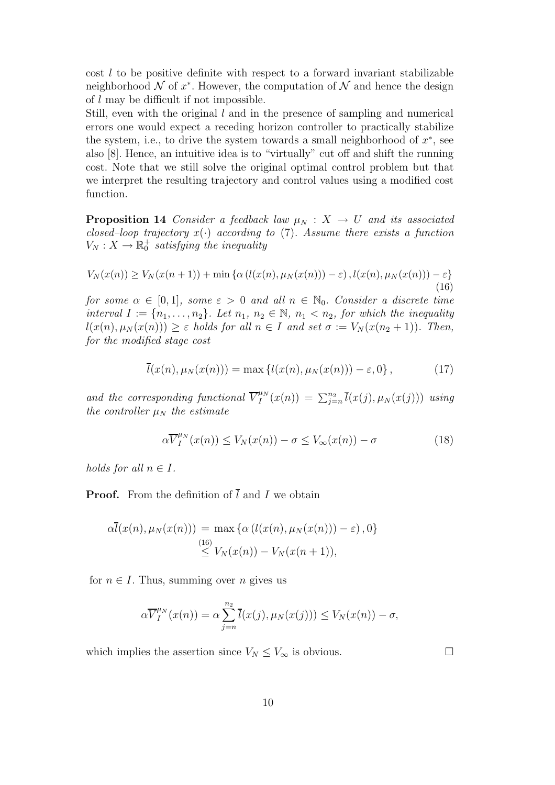cost l to be positive definite with respect to a forward invariant stabilizable neighborhood  $\mathcal N$  of  $x^*$ . However, the computation of  $\mathcal N$  and hence the design of l may be difficult if not impossible.

Still, even with the original  $l$  and in the presence of sampling and numerical errors one would expect a receding horizon controller to practically stabilize the system, i.e., to drive the system towards a small neighborhood of  $x^*$ , see also [8]. Hence, an intuitive idea is to "virtually" cut off and shift the running cost. Note that we still solve the original optimal control problem but that we interpret the resulting trajectory and control values using a modified cost function.

**Proposition 14** Consider a feedback law  $\mu_N : X \to U$  and its associated closed–loop trajectory  $x(\cdot)$  according to (7). Assume there exists a function  $V_N: X \to \mathbb{R}^+_0$  satisfying the inequality

$$
V_N(x(n)) \ge V_N(x(n+1)) + \min \{ \alpha \left( l(x(n), \mu_N(x(n))) - \varepsilon \right), l(x(n), \mu_N(x(n))) - \varepsilon \} \tag{16}
$$

for some  $\alpha \in [0,1]$ , some  $\varepsilon > 0$  and all  $n \in \mathbb{N}_0$ . Consider a discrete time interval  $I := \{n_1, \ldots, n_2\}$ . Let  $n_1, n_2 \in \mathbb{N}$ ,  $n_1 < n_2$ , for which the inequality  $l(x(n), \mu_N(x(n))) \geq \varepsilon$  holds for all  $n \in I$  and set  $\sigma := V_N(x(n_2 + 1))$ . Then, for the modified stage cost

$$
\overline{l}(x(n), \mu_N(x(n))) = \max\left\{l(x(n), \mu_N(x(n))) - \varepsilon, 0\right\},\tag{17}
$$

and the corresponding functional  $\overline{V}_{I}^{\mu_{N}}$  $I_I^{\mu_N}(x(n)) = \sum_{j=n}^{n_2} \bar{l}(x(j), \mu_N(x(j)))$  using the controller  $\mu_N$  the estimate

$$
\alpha \overline{V}_I^{\mu_N}(x(n)) \le V_N(x(n)) - \sigma \le V_\infty(x(n)) - \sigma \tag{18}
$$

holds for all  $n \in I$ .

**Proof.** From the definition of  $\overline{l}$  and I we obtain

$$
\alpha \overline{l}(x(n), \mu_N(x(n))) = \max \{ \alpha (l(x(n), \mu_N(x(n))) - \varepsilon), 0 \}
$$
  
\n
$$
\leq V_N(x(n)) - V_N(x(n+1)),
$$

for  $n \in I$ . Thus, summing over n gives us

$$
\alpha \overline{V}_I^{\mu_N}(x(n)) = \alpha \sum_{j=n}^{n_2} \overline{l}(x(j), \mu_N(x(j))) \le V_N(x(n)) - \sigma,
$$

which implies the assertion since  $V_N \leq V_\infty$  is obvious.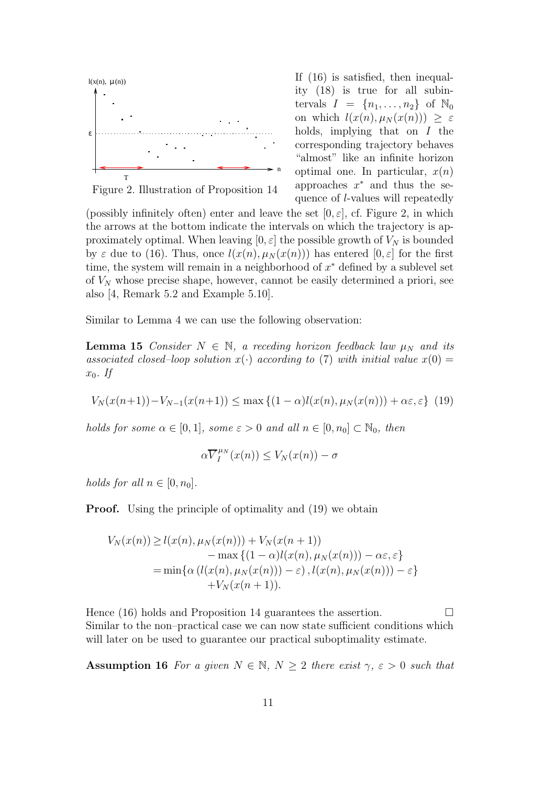

If (16) is satisfied, then inequality (18) is true for all subintervals  $I = \{n_1, \ldots, n_2\}$  of  $\mathbb{N}_0$ on which  $l(x(n), \mu_N(x(n))) \geq \varepsilon$ holds, implying that on  $I$  the corresponding trajectory behaves "almost" like an infinite horizon optimal one. In particular,  $x(n)$ approaches  $x^*$  and thus the sequence of l-values will repeatedly

Figure 2. Illustration of Proposition 14

(possibly infinitely often) enter and leave the set  $[0, \varepsilon]$ , cf. Figure 2, in which the arrows at the bottom indicate the intervals on which the trajectory is approximately optimal. When leaving  $[0, \varepsilon]$  the possible growth of  $V_N$  is bounded by  $\varepsilon$  due to (16). Thus, once  $l(x(n), \mu_N(x(n)))$  has entered  $[0, \varepsilon]$  for the first time, the system will remain in a neighborhood of  $x^*$  defined by a sublevel set of  $V_N$  whose precise shape, however, cannot be easily determined a priori, see also [4, Remark 5.2 and Example 5.10].

Similar to Lemma 4 we can use the following observation:

**Lemma 15** Consider  $N \in \mathbb{N}$ , a receding horizon feedback law  $\mu_N$  and its associated closed–loop solution  $x(\cdot)$  according to (7) with initial value  $x(0)$  =  $x_0$ . If

$$
V_N(x(n+1)) - V_{N-1}(x(n+1)) \le \max\left\{(1-\alpha)l(x(n), \mu_N(x(n))) + \alpha \varepsilon, \varepsilon\right\} \tag{19}
$$

holds for some  $\alpha \in [0,1]$ , some  $\varepsilon > 0$  and all  $n \in [0,n_0] \subset \mathbb{N}_0$ , then

$$
\alpha \overline{V}_I^{\mu_N}(x(n)) \leq V_N(x(n)) - \sigma
$$

holds for all  $n \in [0, n_0]$ .

**Proof.** Using the principle of optimality and (19) we obtain

$$
V_N(x(n)) \ge l(x(n), \mu_N(x(n))) + V_N(x(n+1))
$$
  
- max { $(1 - \alpha)l(x(n), \mu_N(x(n))) - \alpha \varepsilon, \varepsilon$ }  
= min{ $\alpha$  ( $l(x(n), \mu_N(x(n))) - \varepsilon$ ),  $l(x(n), \mu_N(x(n))) - \varepsilon$ }  
+ $V_N(x(n+1)).$ 

Hence (16) holds and Proposition 14 guarantees the assertion.  $\Box$ Similar to the non–practical case we can now state sufficient conditions which will later on be used to guarantee our practical suboptimality estimate.

**Assumption 16** For a given  $N \in \mathbb{N}$ ,  $N \geq 2$  there exist  $\gamma$ ,  $\varepsilon > 0$  such that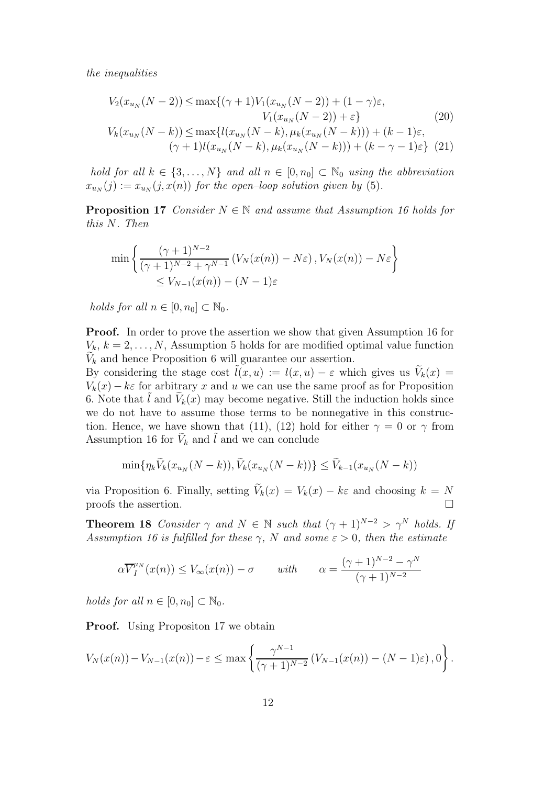the inequalities

$$
V_2(x_{u_N}(N-2)) \le \max\{(\gamma+1)V_1(x_{u_N}(N-2)) + (1-\gamma)\varepsilon, V_1(x_{u_N}(N-2)) + \varepsilon\}
$$
 (20)  

$$
V_k(x_{u_N}(N-k)) \le \max\{l(x_{u_N}(N-k), \mu_k(x_{u_N}(N-k))) + (k-1)\varepsilon, (\gamma+1)l(x_{u_N}(N-k), \mu_k(x_{u_N}(N-k)) + (k-\gamma-1)\varepsilon\}
$$
 (21)

hold for all  $k \in \{3, ..., N\}$  and all  $n \in [0, n_0] \subset \mathbb{N}_0$  using the abbreviation  $x_{u_N}(j) := x_{u_N}(j, x(n))$  for the open-loop solution given by (5).

**Proposition 17** Consider  $N \in \mathbb{N}$  and assume that Assumption 16 holds for this N. Then

$$
\min \left\{ \frac{(\gamma + 1)^{N-2}}{(\gamma + 1)^{N-2} + \gamma^{N-1}} \left( V_N(x(n)) - N\varepsilon \right), V_N(x(n)) - N\varepsilon \right\}
$$
  
\$\leq V\_{N-1}(x(n)) - (N-1)\varepsilon\$

holds for all  $n \in [0, n_0] \subset \mathbb{N}_0$ .

Proof. In order to prove the assertion we show that given Assumption 16 for  $V_k, k = 2, \ldots, N$ , Assumption 5 holds for are modified optimal value function  $V_k$  and hence Proposition 6 will guarantee our assertion.

By considering the stage cost  $\tilde{l}(x, u) := l(x, u) - \varepsilon$  which gives us  $V_k(x) =$  $V_k(x) - k\varepsilon$  for arbitrary x and u we can use the same proof as for Proposition 6. Note that  $\tilde{l}$  and  $V_k(x)$  may become negative. Still the induction holds since we do not have to assume those terms to be nonnegative in this construction. Hence, we have shown that (11), (12) hold for either  $\gamma = 0$  or  $\gamma$  from Assumption 16 for  $V_k$  and  $\tilde{l}$  and we can conclude

$$
\min\{\eta_k \tilde{V}_k(x_{u_N}(N-k)), \tilde{V}_k(x_{u_N}(N-k))\} \le \tilde{V}_{k-1}(x_{u_N}(N-k))
$$

via Proposition 6. Finally, setting  $\tilde{V}_k(x) = V_k(x) - k\varepsilon$  and choosing  $k = N$ proofs the assertion.  $\Box$ 

**Theorem 18** Consider  $\gamma$  and  $N \in \mathbb{N}$  such that  $(\gamma + 1)^{N-2} > \gamma^N$  holds. If Assumption 16 is fulfilled for these  $\gamma$ , N and some  $\varepsilon > 0$ , then the estimate

$$
\alpha \overline{V}_I^{\mu_N}(x(n)) \le V_\infty(x(n)) - \sigma \qquad with \qquad \alpha = \frac{(\gamma + 1)^{N-2} - \gamma^N}{(\gamma + 1)^{N-2}}
$$

holds for all  $n \in [0, n_0] \subset \mathbb{N}_0$ .

**Proof.** Using Propositon 17 we obtain

$$
V_N(x(n)) - V_{N-1}(x(n)) - \varepsilon \le \max\left\{\frac{\gamma^{N-1}}{(\gamma+1)^{N-2}}\left(V_{N-1}(x(n)) - (N-1)\varepsilon\right), 0\right\}.
$$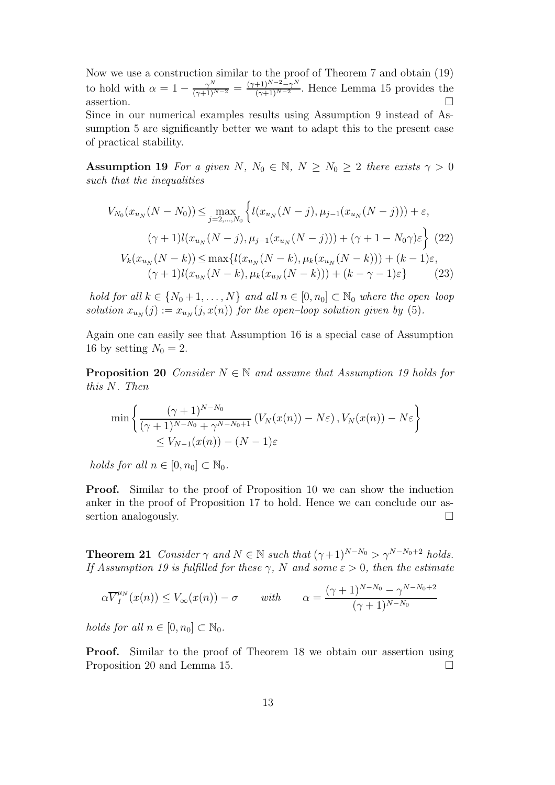Now we use a construction similar to the proof of Theorem 7 and obtain (19) to hold with  $\alpha = 1 - \frac{\gamma^N}{(\gamma+1)^{N-2}} = \frac{(\gamma+1)^{N-2}-\gamma^N}{(\gamma+1)^{N-2}}$  $\frac{(-1)^{N-2}-\gamma^N}{(\gamma+1)^{N-2}}$ . Hence Lemma 15 provides the assertion.  $\square$ 

Since in our numerical examples results using Assumption 9 instead of Assumption 5 are significantly better we want to adapt this to the present case of practical stability.

**Assumption 19** For a given N,  $N_0 \in \mathbb{N}$ ,  $N \ge N_0 \ge 2$  there exists  $\gamma > 0$ such that the inequalities

$$
V_{N_0}(x_{u_N}(N - N_0)) \le \max_{j=2,\dots,N_0} \left\{ l(x_{u_N}(N - j), \mu_{j-1}(x_{u_N}(N - j))) + \varepsilon, \right. \n(\gamma + 1) l(x_{u_N}(N - j), \mu_{j-1}(x_{u_N}(N - j))) + (\gamma + 1 - N_0 \gamma) \varepsilon \right\} (22) \nV_k(x_{u_N}(N - k)) \le \max \{ l(x_{u_N}(N - k), \mu_k(x_{u_N}(N - k))) + (k - 1)\varepsilon, \right. \n(\gamma + 1) l(x_{u_N}(N - k), \mu_k(x_{u_N}(N - k))) + (k - \gamma - 1)\varepsilon \}
$$
\n(23)

hold for all  $k \in \{N_0+1,\ldots,N\}$  and all  $n \in [0,n_0] \subset \mathbb{N}_0$  where the open-loop solution  $x_{u_N}(j) := x_{u_N}(j, x(n))$  for the open-loop solution given by (5).

Again one can easily see that Assumption 16 is a special case of Assumption 16 by setting  $N_0 = 2$ .

**Proposition 20** Consider  $N \in \mathbb{N}$  and assume that Assumption 19 holds for this N. Then

$$
\min \left\{ \frac{(\gamma+1)^{N-N_0}}{(\gamma+1)^{N-N_0} + \gamma^{N-N_0+1}} \left( V_N(x(n)) - N\varepsilon \right), V_N(x(n)) - N\varepsilon \right\}
$$
  

$$
\leq V_{N-1}(x(n)) - (N-1)\varepsilon
$$

holds for all  $n \in [0, n_0] \subset \mathbb{N}_0$ .

Proof. Similar to the proof of Proposition 10 we can show the induction anker in the proof of Proposition 17 to hold. Hence we can conclude our assertion analogously.

**Theorem 21** Consider  $\gamma$  and  $N \in \mathbb{N}$  such that  $(\gamma + 1)^{N - N_0} > \gamma^{N - N_0 + 2}$  holds. If Assumption 19 is fulfilled for these  $\gamma$ , N and some  $\varepsilon > 0$ , then the estimate

$$
\alpha \overline{V}_I^{\mu_N}(x(n)) \le V_\infty(x(n)) - \sigma \qquad with \qquad \alpha = \frac{(\gamma + 1)^{N - N_0} - \gamma^{N - N_0 + 2}}{(\gamma + 1)^{N - N_0}}
$$

holds for all  $n \in [0, n_0] \subset \mathbb{N}_0$ .

Proof. Similar to the proof of Theorem 18 we obtain our assertion using Proposition 20 and Lemma 15.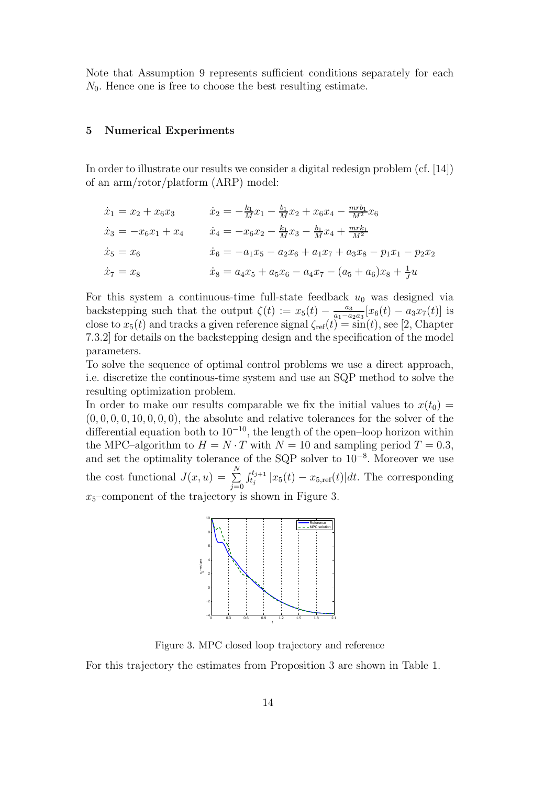Note that Assumption 9 represents sufficient conditions separately for each  $N_0$ . Hence one is free to choose the best resulting estimate.

#### 5 Numerical Experiments

In order to illustrate our results we consider a digital redesign problem (cf. [14]) of an arm/rotor/platform (ARP) model:

| $\dot{x}_1 = x_2 + x_6 x_3$ | $\dot{x}_2 = -\frac{k_1}{M}x_1 - \frac{b_1}{M}x_2 + x_6x_4 - \frac{mrb_1}{M^2}x_6$ |
|-----------------------------|------------------------------------------------------------------------------------|
| $\dot{x}_3 = -x_6x_1 + x_4$ | $\dot{x}_4 = -x_6 x_2 - \frac{k_1}{M} x_3 - \frac{b_1}{M} x_4 + \frac{mrk_1}{M^2}$ |
| $\dot{x}_5 = x_6$           | $\dot{x}_6 = -a_1x_5 - a_2x_6 + a_1x_7 + a_3x_8 - p_1x_1 - p_2x_2$                 |
| $\dot{x}_7 = x_8$           | $\dot{x}_8 = a_4x_5 + a_5x_6 - a_4x_7 - (a_5 + a_6)x_8 + \frac{1}{J}u$             |

For this system a continuous-time full-state feedback  $u_0$  was designed via backstepping such that the output  $\zeta(t) := x_5(t) - \frac{a_3}{a_1 - a_2 a_3} [x_6(t) - a_3 x_7(t)]$  is close to  $x_5(t)$  and tracks a given reference signal  $\zeta_{ref}(t) = \sin(t)$ , see [2, Chapter 7.3.2] for details on the backstepping design and the specification of the model parameters.

To solve the sequence of optimal control problems we use a direct approach, i.e. discretize the continous-time system and use an SQP method to solve the resulting optimization problem.

In order to make our results comparable we fix the initial values to  $x(t_0)$  =  $(0, 0, 0, 0, 10, 0, 0, 0)$ , the absolute and relative tolerances for the solver of the differential equation both to  $10^{-10}$ , the length of the open–loop horizon within the MPC–algorithm to  $H = N \cdot T$  with  $N = 10$  and sampling period  $T = 0.3$ , and set the optimality tolerance of the SQP solver to  $10^{-8}$ . Moreover we use the cost functional  $J(x, u) = \sum_{n=1}^{N}$  $j=0$  $\int_{t_j}^{t_{j+1}} |x_5(t) - x_{5,\text{ref}}(t)| dt$ . The corresponding  $x_5$ –component of the trajectory is shown in Figure 3.



Figure 3. MPC closed loop trajectory and reference

For this trajectory the estimates from Proposition 3 are shown in Table 1.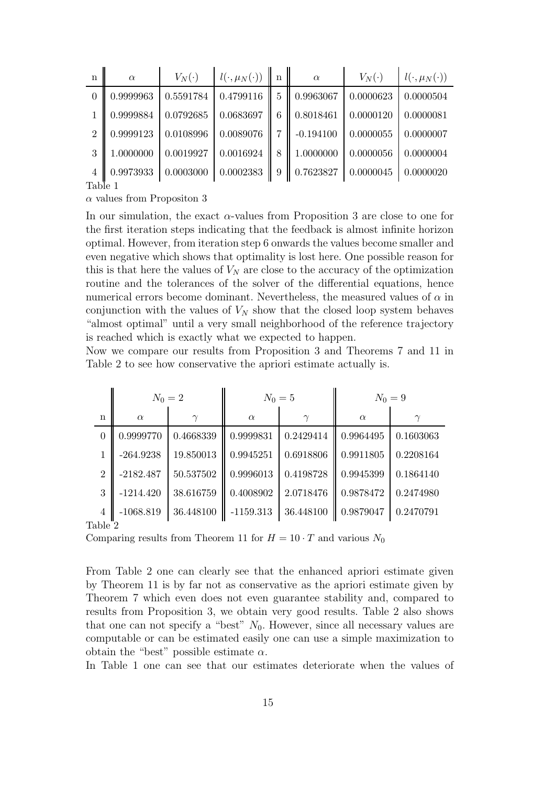| n                           | $\alpha$  | $V_N(\cdot)$ | $l(\cdot, \mu_N(\cdot))$ | $\mathbf n$ | $\alpha$                 | $V_N(\cdot)$ | $l(\cdot, \mu_N(\cdot))$ |
|-----------------------------|-----------|--------------|--------------------------|-------------|--------------------------|--------------|--------------------------|
|                             | 0.9999963 | 0.5591784    | 0.4799116                | 5           | 0.9963067<br>II          | 0.0000623    | 0.0000504                |
| $\mathbf{1}$                | 0.9999884 | 0.0792685    | 0.0683697                | 6           | 0.8018461                | 0.0000120    | 0.0000081                |
| $\mathcal{D}_{\mathcal{L}}$ | 0.9999123 | 0.0108996    | 0.0089076                |             | $-0.194100$              | 0.0000055    | 0.0000007                |
| 3                           | 1.0000000 | 0.0019927    | 0.0016924                | 8           | 1.0000000                | 0.0000056    | 0.0000004                |
| $\overline{4}$              | 0.9973933 | 0.0003000    | 0.0002383                | $\vert$ 9   | $\parallel$<br>0.7623827 | 0.0000045    | 0.0000020                |
| Table 1                     |           |              |                          |             |                          |              |                          |

 $\alpha$  values from Propositon 3

In our simulation, the exact  $\alpha$ -values from Proposition 3 are close to one for the first iteration steps indicating that the feedback is almost infinite horizon optimal. However, from iteration step 6 onwards the values become smaller and even negative which shows that optimality is lost here. One possible reason for this is that here the values of  $V_N$  are close to the accuracy of the optimization routine and the tolerances of the solver of the differential equations, hence numerical errors become dominant. Nevertheless, the measured values of  $\alpha$  in conjunction with the values of  $V_N$  show that the closed loop system behaves "almost optimal" until a very small neighborhood of the reference trajectory is reached which is exactly what we expected to happen.

Now we compare our results from Proposition 3 and Theorems 7 and 11 in Table 2 to see how conservative the apriori estimate actually is.

|                | $N_0 = 2$   |           |               | $N_0 = 5$ | $N_0 = 9$ |           |
|----------------|-------------|-----------|---------------|-----------|-----------|-----------|
| n              | $\alpha$    | $\gamma$  | $\alpha$      | $\gamma$  | $\alpha$  | $\sim$    |
| $\theta$       | 0.9999770   | 0.4668339 | 0.9999831     | 0.2429414 | 0.9964495 | 0.1603063 |
|                | $-264.9238$ | 19.850013 | 0.9945251     | 0.6918806 | 0.9911805 | 0.2208164 |
| $\overline{2}$ | $-2182.487$ | 50.537502 | 0.9996013     | 0.4198728 | 0.9945399 | 0.1864140 |
| 3              | $-1214.420$ | 38.616759 | 0.4008902     | 2.0718476 | 0.9878472 | 0.2474980 |
| $\overline{4}$ | $-1068.819$ | 36.448100 | $  -1159.313$ | 36.448100 | 0.9879047 | 0.2470791 |
| Table 2        |             |           |               |           |           |           |

Comparing results from Theorem 11 for  $H = 10 \cdot T$  and various  $N_0$ 

From Table 2 one can clearly see that the enhanced apriori estimate given by Theorem 11 is by far not as conservative as the apriori estimate given by Theorem 7 which even does not even guarantee stability and, compared to results from Proposition 3, we obtain very good results. Table 2 also shows that one can not specify a "best"  $N_0$ . However, since all necessary values are computable or can be estimated easily one can use a simple maximization to obtain the "best" possible estimate  $\alpha$ .

In Table 1 one can see that our estimates deteriorate when the values of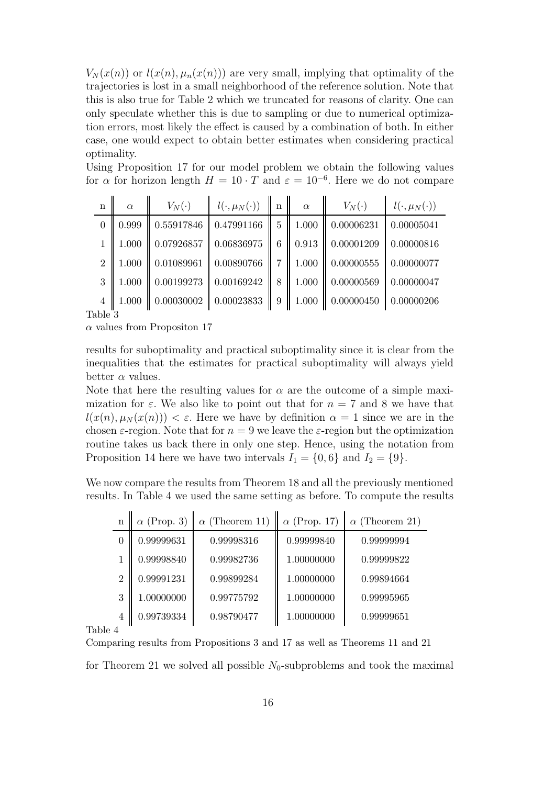$V_N(x(n))$  or  $l(x(n), \mu_n(x(n)))$  are very small, implying that optimality of the trajectories is lost in a small neighborhood of the reference solution. Note that this is also true for Table 2 which we truncated for reasons of clarity. One can only speculate whether this is due to sampling or due to numerical optimization errors, most likely the effect is caused by a combination of both. In either case, one would expect to obtain better estimates when considering practical optimality.

Using Proposition 17 for our model problem we obtain the following values for  $\alpha$  for horizon length  $H = 10 \cdot T$  and  $\varepsilon = 10^{-6}$ . Here we do not compare

| $\mathbf{n}$   | $\alpha$       | $V_N(\cdot)$                                                                                                                | $\begin{array}{c} \left  l(\cdot,\mu_N(\cdot)) \right  \leq \left \right  \end{array}$ |   | $\alpha$            | $V_N(\cdot)$ | $l(\cdot,\mu_N(\cdot))$ |
|----------------|----------------|-----------------------------------------------------------------------------------------------------------------------------|----------------------------------------------------------------------------------------|---|---------------------|--------------|-------------------------|
| $\theta$       | 0.999          | $\parallel 0.55917846$                                                                                                      | 0.47991166                                                                             |   | $5 \parallel 1.000$ | 0.00006231   | 0.00005041              |
|                | 1.000          | $\parallel 0.07926857$                                                                                                      | 0.06836975                                                                             | 6 | $\parallel$ 0.913   | 0.00001209   | 0.00000816              |
|                | $2 \mid 1.000$ | 0.01089961                                                                                                                  | $\vert 0.00890766 \vert \vert$                                                         |   | $7 \parallel 1.000$ | 0.00000555   | 0.00000077              |
| $\mathcal{E}$  | 1.000          | $\parallel$ 0.00199273 $\parallel$ 0.00169242 $\parallel$                                                                   |                                                                                        | 8 | $\parallel$ 1.000   | 0.00000569   | 0.00000047              |
| $\overline{4}$ | 1.000          | $\parallel$ 0.00030002 $\parallel$ 0.00023833 $\parallel$ 9 $\parallel$ 1.000 $\parallel$ 0.00000450 $\parallel$ 0.00000206 |                                                                                        |   |                     |              |                         |
| shla ?         |                |                                                                                                                             |                                                                                        |   |                     |              |                         |

Table 3

 $\alpha$  values from Propositon 17

results for suboptimality and practical suboptimality since it is clear from the inequalities that the estimates for practical suboptimality will always yield better  $\alpha$  values.

Note that here the resulting values for  $\alpha$  are the outcome of a simple maximization for  $\varepsilon$ . We also like to point out that for  $n = 7$  and 8 we have that  $l(x(n), \mu_N(x(n))) < \varepsilon$ . Here we have by definition  $\alpha = 1$  since we are in the chosen  $\varepsilon$ -region. Note that for  $n = 9$  we leave the  $\varepsilon$ -region but the optimization routine takes us back there in only one step. Hence, using the notation from Proposition 14 here we have two intervals  $I_1 = \{0, 6\}$  and  $I_2 = \{9\}.$ 

We now compare the results from Theorem 18 and all the previously mentioned results. In Table 4 we used the same setting as before. To compute the results

 $\ddot{\phantom{a}}$ 

| n              | $\alpha$ (Prop. 3) | $\alpha$ (Theorem 11) | $\alpha$ (Prop. 17) | $\alpha$ (Theorem 21) |
|----------------|--------------------|-----------------------|---------------------|-----------------------|
| 0              | 0.99999631         | 0.99998316            | 0.99999840          | 0.99999994            |
|                | 0.99998840         | 0.99982736            | 1.00000000          | 0.99999822            |
| $\overline{2}$ | 0.99991231         | 0.99899284            | 1.00000000          | 0.99894664            |
| 3              | 1.00000000         | 0.99775792            | 1.00000000          | 0.99995965            |
|                | 0.99739334         | 0.98790477            | 1.00000000          | 0.99999651            |
|                |                    |                       |                     |                       |

Table 4

Comparing results from Propositions 3 and 17 as well as Theorems 11 and 21

for Theorem 21 we solved all possible  $N_0$ -subproblems and took the maximal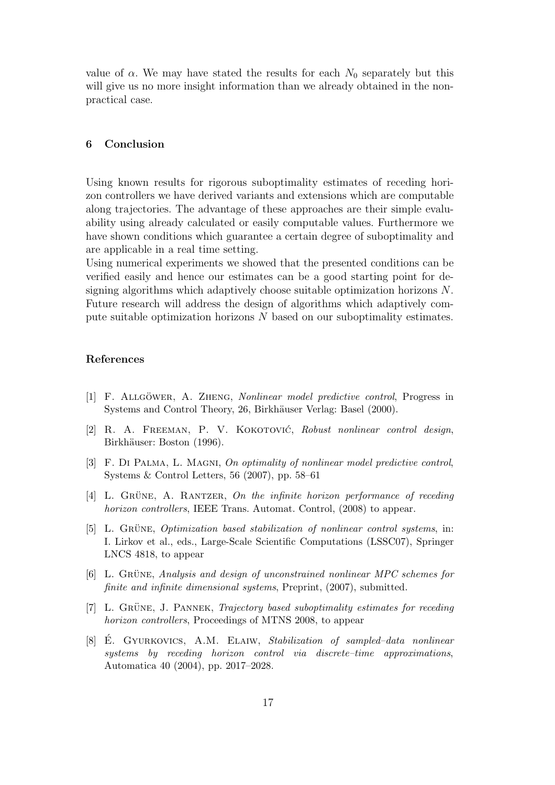value of  $\alpha$ . We may have stated the results for each  $N_0$  separately but this will give us no more insight information than we already obtained in the nonpractical case.

#### 6 Conclusion

Using known results for rigorous suboptimality estimates of receding horizon controllers we have derived variants and extensions which are computable along trajectories. The advantage of these approaches are their simple evaluability using already calculated or easily computable values. Furthermore we have shown conditions which guarantee a certain degree of suboptimality and are applicable in a real time setting.

Using numerical experiments we showed that the presented conditions can be verified easily and hence our estimates can be a good starting point for designing algorithms which adaptively choose suitable optimization horizons N. Future research will address the design of algorithms which adaptively compute suitable optimization horizons N based on our suboptimality estimates.

#### References

- [1] F. ALLGÖWER, A. ZHENG, *Nonlinear model predictive control*, Progress in Systems and Control Theory, 26, Birkhäuser Verlag: Basel (2000).
- [2] R. A. FREEMAN, P. V. KOKOTOVIĆ, Robust nonlinear control design, Birkhäuser: Boston (1996).
- [3] F. Di Palma, L. Magni, On optimality of nonlinear model predictive control, Systems & Control Letters, 56 (2007), pp. 58–61
- $[4]$  L. GRÜNE, A. RANTZER, On the infinite horizon performance of receding horizon controllers, IEEE Trans. Automat. Control, (2008) to appear.
- [5] L. GRÜNE, Optimization based stabilization of nonlinear control systems, in: I. Lirkov et al., eds., Large-Scale Scientific Computations (LSSC07), Springer LNCS 4818, to appear
- $[6]$  L. GRÜNE, Analysis and design of unconstrained nonlinear MPC schemes for finite and infinite dimensional systems, Preprint, (2007), submitted.
- [7] L. GRÜNE, J. PANNEK, *Trajectory based suboptimality estimates for receding* horizon controllers, Proceedings of MTNS 2008, to appear
- [8] E. GYURKOVICS, A.M. ELAIW, *Stabilization of sampled-data nonlinear* systems by receding horizon control via discrete–time approximations, Automatica 40 (2004), pp. 2017–2028.